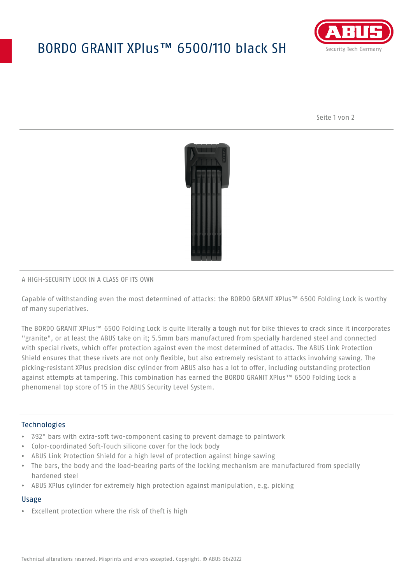# BORDO GRANIT XPlus™ 6500/110 black SH



Seite 1 von 2



#### A HIGH-SECURITY LOCK IN A CLASS OF ITS OWN

Capable of withstanding even the most determined of attacks: the BORDO GRANIT XPlus™ 6500 Folding Lock is worthy of many superlatives.

The BORDO GRANIT XPlus™ 6500 Folding Lock is quite literally a tough nut for bike thieves to crack since it incorporates "granite", or at least the ABUS take on it; 5.5mm bars manufactured from specially hardened steel and connected with special rivets, which offer protection against even the most determined of attacks. The ABUS Link Protection Shield ensures that these rivets are not only flexible, but also extremely resistant to attacks involving sawing. The picking-resistant XPlus precision disc cylinder from ABUS also has a lot to offer, including outstanding protection against attempts at tampering. This combination has earned the BORDO GRANIT XPlus™ 6500 Folding Lock a phenomenal top score of 15 in the ABUS Security Level System.

#### Technologies

- 7⁄32" bars with extra-soft two-component casing to prevent damage to paintwork
- Color-coordinated Soft-Touch silicone cover for the lock body
- ABUS Link Protection Shield for a high level of protection against hinge sawing
- The bars, the body and the load-bearing parts of the locking mechanism are manufactured from specially hardened steel
- ABUS XPlus cylinder for extremely high protection against manipulation, e.g. picking

#### Usage

• Excellent protection where the risk of theft is high